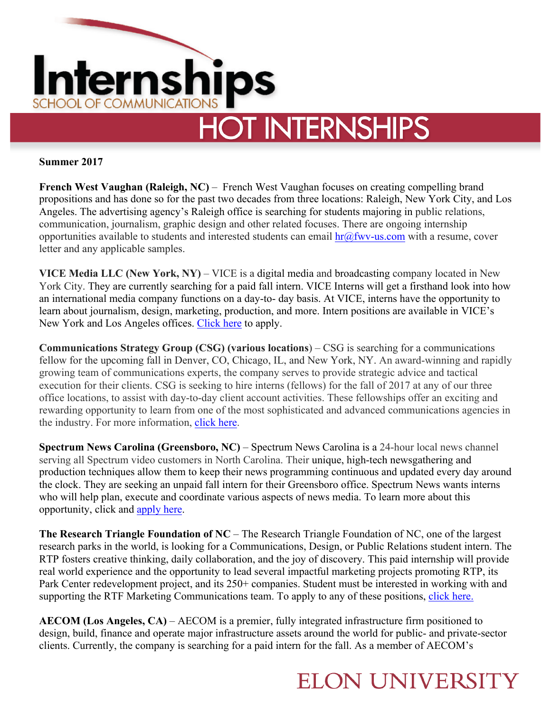

**Summer 2017**

**French West Vaughan (Raleigh, NC) – French West Vaughan focuses on creating compelling brand** propositions and has done so for the past two decades from three locations: Raleigh, New York City, and Los Angeles. The advertising agency's Raleigh office is searching for students majoring in public relations, communication, journalism, graphic design and other related focuses. There are ongoing internship opportunities available to students and interested students can email  $\frac{ln(a)}{dw}$  us.com with a resume, cover letter and any applicable samples.

**VICE Media LLC (New York, NY)** – VICE is a digital media and broadcasting company located in New York City. They are currently searching for a paid fall intern. VICE Interns will get a firsthand look into how an international media company functions on a day-to- day basis. At VICE, interns have the opportunity to learn about journalism, design, marketing, production, and more. Intern positions are available in VICE's New York and Los Angeles offices. Click here to apply.

**Communications Strategy Group (CSG) (various locations**) – CSG is searching for a communications fellow for the upcoming fall in Denver, CO, Chicago, IL, and New York, NY. An award-winning and rapidly growing team of communications experts, the company serves to provide strategic advice and tactical execution for their clients. CSG is seeking to hire interns (fellows) for the fall of 2017 at any of our three office locations, to assist with day-to-day client account activities. These fellowships offer an exciting and rewarding opportunity to learn from one of the most sophisticated and advanced communications agencies in the industry. For more information, click here.

**Spectrum News Carolina (Greensboro, NC)** – Spectrum News Carolina is a 24-hour local news channel serving all Spectrum video customers in North Carolina. Their unique, high-tech newsgathering and production techniques allow them to keep their news programming continuous and updated every day around the clock. They are seeking an unpaid fall intern for their Greensboro office. Spectrum News wants interns who will help plan, execute and coordinate various aspects of news media. To learn more about this opportunity, click and apply here.

**The Research Triangle Foundation of NC** – The Research Triangle Foundation of NC, one of the largest research parks in the world, is looking for a Communications, Design, or Public Relations student intern. The RTP fosters creative thinking, daily collaboration, and the joy of discovery. This paid internship will provide real world experience and the opportunity to lead several impactful marketing projects promoting RTP, its Park Center redevelopment project, and its 250+ companies. Student must be interested in working with and supporting the RTF Marketing Communications team. To apply to any of these positions, click here.

**AECOM (Los Angeles, CA)** – AECOM is a premier, fully integrated infrastructure firm positioned to design, build, finance and operate major infrastructure assets around the world for public- and private-sector clients. Currently, the company is searching for a paid intern for the fall. As a member of AECOM's

## **ELON UNIVERSITY**